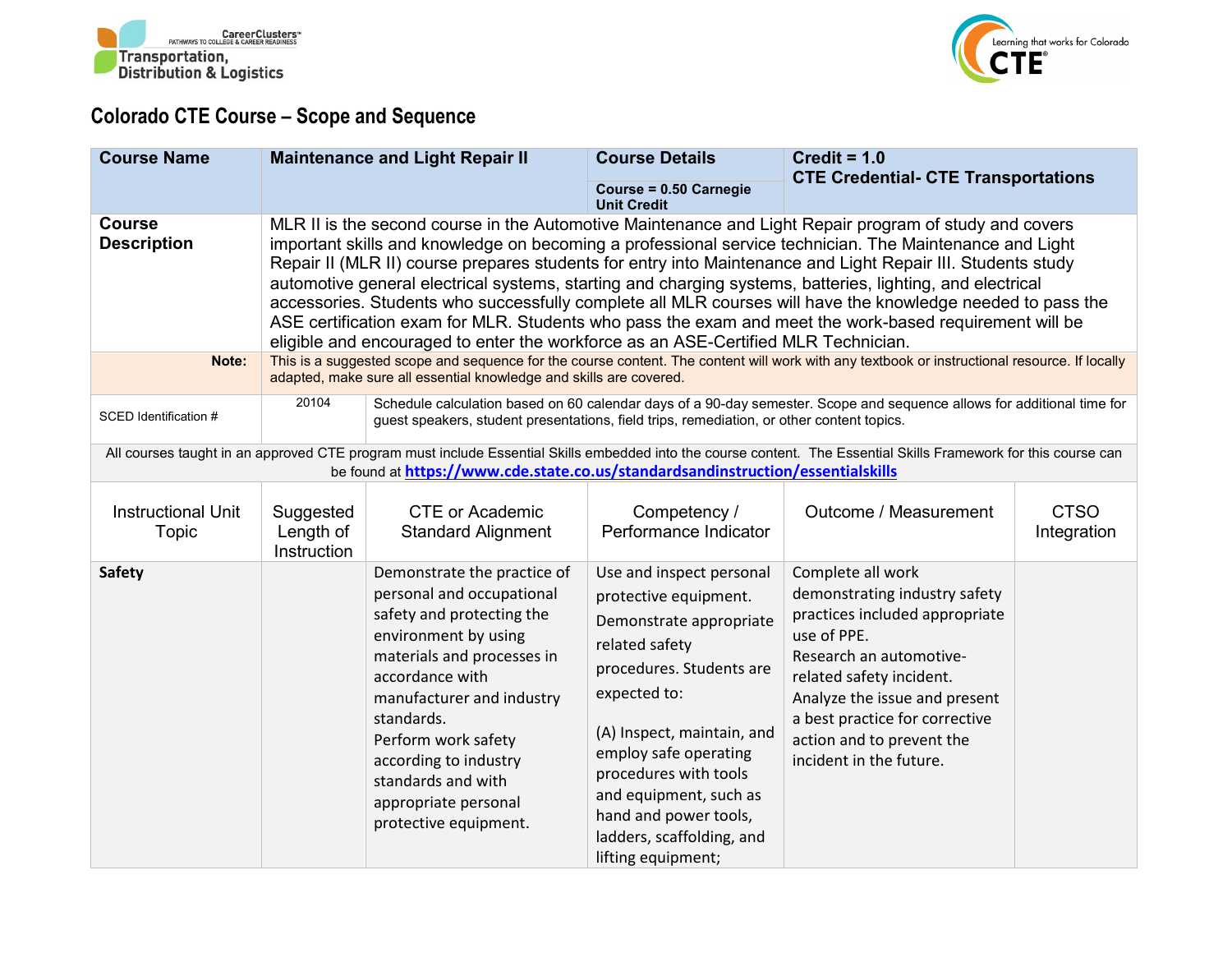



## **Colorado CTE Course – Scope and Sequence**

| <b>Course Name</b>                           |                                                                                                                                                                                                                                                                                                                                                                                                                                                                                                                                                                                                                                                                                                                                                                                                                                                                                                             | <b>Maintenance and Light Repair II</b>                                                                                                                                                                                                                                                                                           | <b>Course Details</b><br>Course = 0.50 Carnegie<br><b>Unit Credit</b>                                                                                                                                                                                                                                                            | Credit = $1.0$<br><b>CTE Credential- CTE Transportations</b>                                                                                                                                                                                                                          |                            |  |
|----------------------------------------------|-------------------------------------------------------------------------------------------------------------------------------------------------------------------------------------------------------------------------------------------------------------------------------------------------------------------------------------------------------------------------------------------------------------------------------------------------------------------------------------------------------------------------------------------------------------------------------------------------------------------------------------------------------------------------------------------------------------------------------------------------------------------------------------------------------------------------------------------------------------------------------------------------------------|----------------------------------------------------------------------------------------------------------------------------------------------------------------------------------------------------------------------------------------------------------------------------------------------------------------------------------|----------------------------------------------------------------------------------------------------------------------------------------------------------------------------------------------------------------------------------------------------------------------------------------------------------------------------------|---------------------------------------------------------------------------------------------------------------------------------------------------------------------------------------------------------------------------------------------------------------------------------------|----------------------------|--|
| <b>Course</b><br><b>Description</b><br>Note: | MLR II is the second course in the Automotive Maintenance and Light Repair program of study and covers<br>important skills and knowledge on becoming a professional service technician. The Maintenance and Light<br>Repair II (MLR II) course prepares students for entry into Maintenance and Light Repair III. Students study<br>automotive general electrical systems, starting and charging systems, batteries, lighting, and electrical<br>accessories. Students who successfully complete all MLR courses will have the knowledge needed to pass the<br>ASE certification exam for MLR. Students who pass the exam and meet the work-based requirement will be<br>eligible and encouraged to enter the workforce as an ASE-Certified MLR Technician.<br>This is a suggested scope and sequence for the course content. The content will work with any textbook or instructional resource. If locally |                                                                                                                                                                                                                                                                                                                                  |                                                                                                                                                                                                                                                                                                                                  |                                                                                                                                                                                                                                                                                       |                            |  |
| SCED Identification #                        | 20104                                                                                                                                                                                                                                                                                                                                                                                                                                                                                                                                                                                                                                                                                                                                                                                                                                                                                                       | adapted, make sure all essential knowledge and skills are covered.<br>Schedule calculation based on 60 calendar days of a 90-day semester. Scope and sequence allows for additional time for<br>guest speakers, student presentations, field trips, remediation, or other content topics.                                        |                                                                                                                                                                                                                                                                                                                                  |                                                                                                                                                                                                                                                                                       |                            |  |
|                                              |                                                                                                                                                                                                                                                                                                                                                                                                                                                                                                                                                                                                                                                                                                                                                                                                                                                                                                             | be found at https://www.cde.state.co.us/standardsandinstruction/essentialskills                                                                                                                                                                                                                                                  |                                                                                                                                                                                                                                                                                                                                  | All courses taught in an approved CTE program must include Essential Skills embedded into the course content. The Essential Skills Framework for this course can                                                                                                                      |                            |  |
| <b>Instructional Unit</b><br>Topic           | Suggested<br>Length of<br>Instruction                                                                                                                                                                                                                                                                                                                                                                                                                                                                                                                                                                                                                                                                                                                                                                                                                                                                       | <b>CTE or Academic</b><br><b>Standard Alignment</b>                                                                                                                                                                                                                                                                              | Competency /<br>Performance Indicator                                                                                                                                                                                                                                                                                            | Outcome / Measurement                                                                                                                                                                                                                                                                 | <b>CTSO</b><br>Integration |  |
| <b>Safety</b>                                |                                                                                                                                                                                                                                                                                                                                                                                                                                                                                                                                                                                                                                                                                                                                                                                                                                                                                                             | Demonstrate the practice of<br>personal and occupational<br>safety and protecting the<br>environment by using<br>materials and processes in<br>accordance with<br>manufacturer and industry<br>standards.<br>Perform work safety<br>according to industry<br>standards and with<br>appropriate personal<br>protective equipment. | Use and inspect personal<br>protective equipment.<br>Demonstrate appropriate<br>related safety<br>procedures. Students are<br>expected to:<br>(A) Inspect, maintain, and<br>employ safe operating<br>procedures with tools<br>and equipment, such as<br>hand and power tools,<br>ladders, scaffolding, and<br>lifting equipment; | Complete all work<br>demonstrating industry safety<br>practices included appropriate<br>use of PPE.<br>Research an automotive-<br>related safety incident.<br>Analyze the issue and present<br>a best practice for corrective<br>action and to prevent the<br>incident in the future. |                            |  |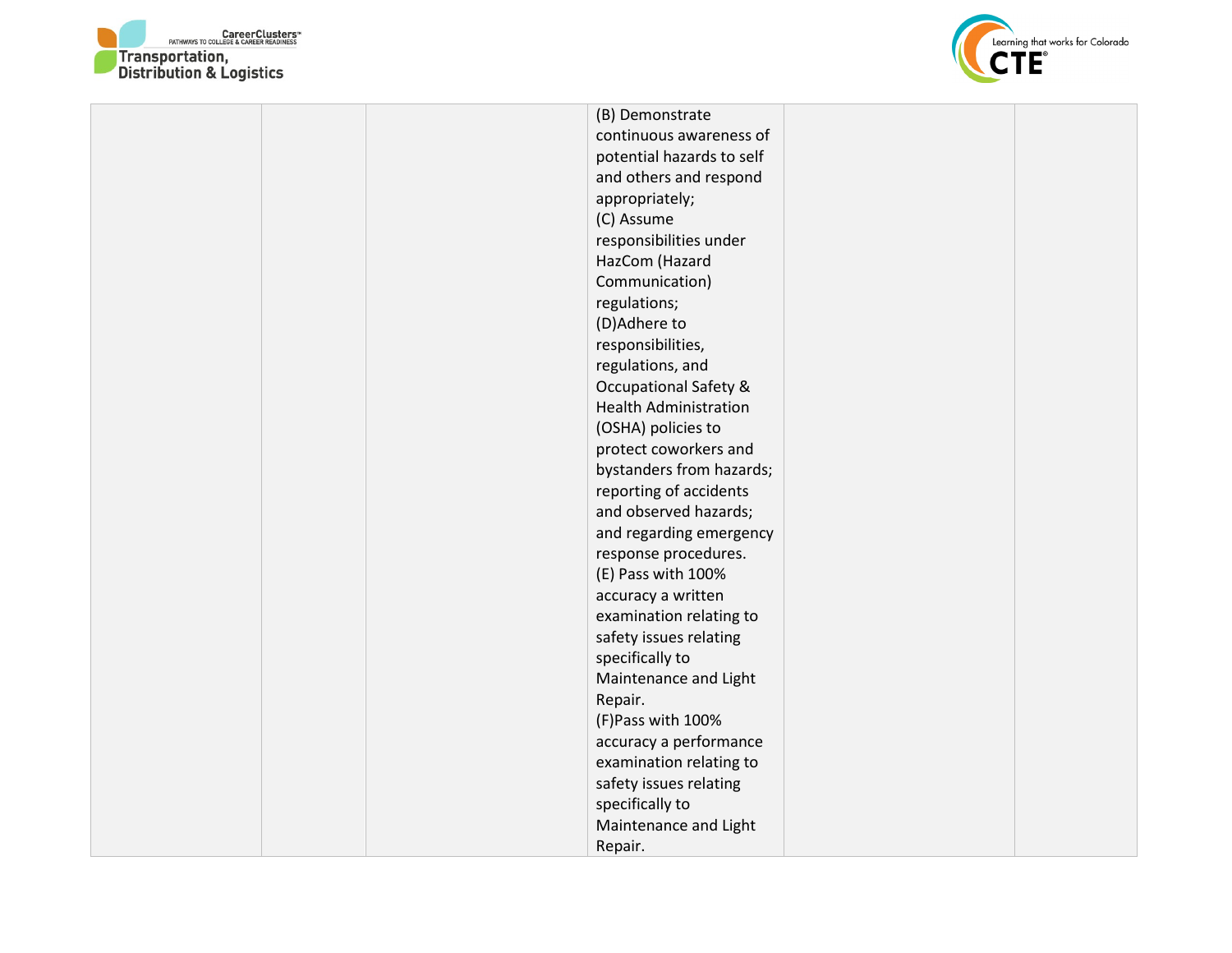



(B) Demonstrate continuous awareness of potential hazards to self and others and respond appropriately; (C) Assume responsibilities under HazCom (Hazard Communication) regulations; (D)Adhere to responsibilities, regulations, and Occupational Safety & Health Administration (OSHA) policies to protect coworkers and bystanders from hazards; reporting of accidents and observed hazards; and regarding emergency response procedures. (E) Pass with 100% accuracy a written examination relating to safety issues relating specifically to Maintenance and Light Repair. (F)Pass with 100% accuracy a performance examination relating to safety issues relating specifically to Maintenance and Light Repair.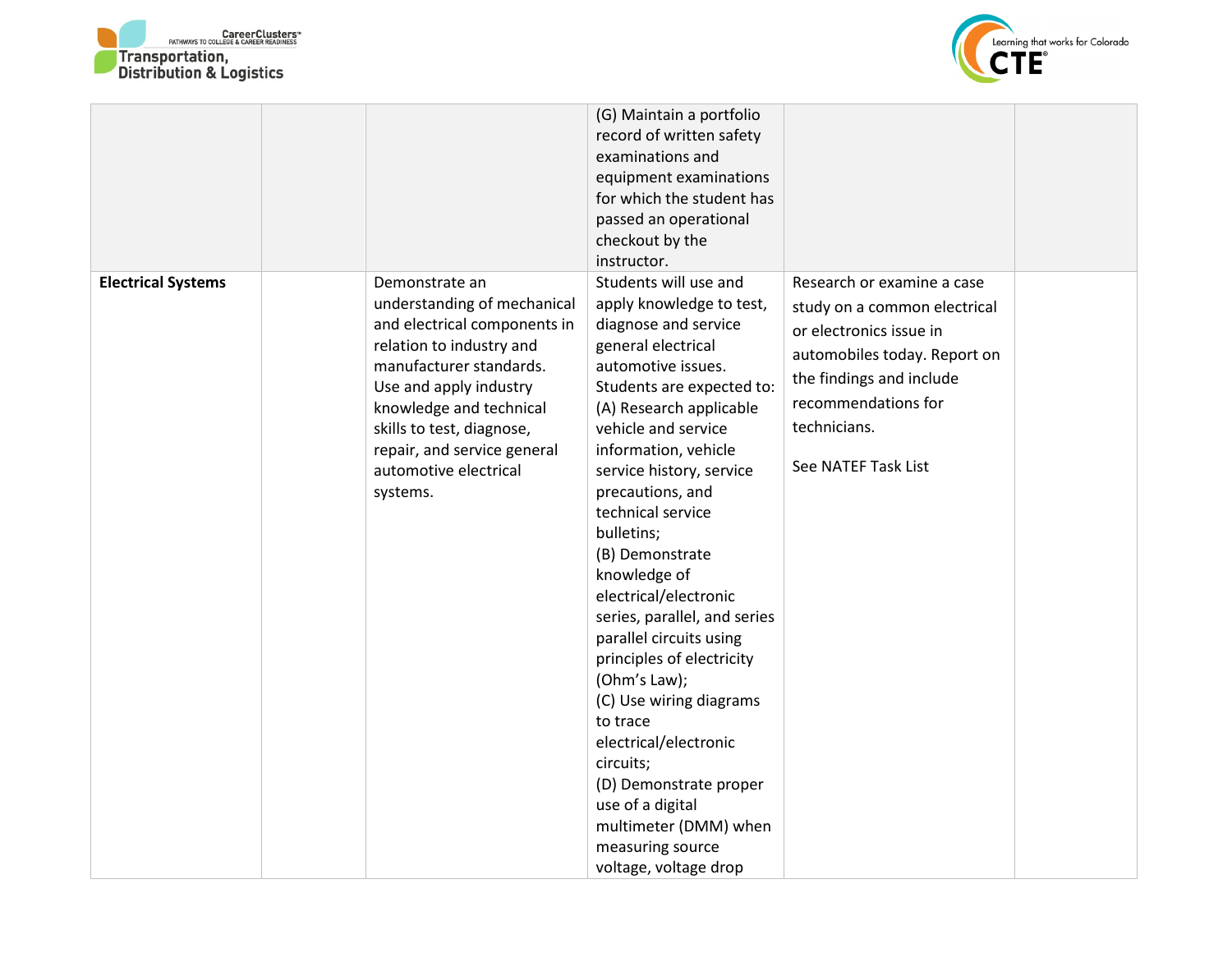



|                           |                              | (G) Maintain a portfolio     |                              |  |
|---------------------------|------------------------------|------------------------------|------------------------------|--|
|                           |                              | record of written safety     |                              |  |
|                           |                              | examinations and             |                              |  |
|                           |                              | equipment examinations       |                              |  |
|                           |                              | for which the student has    |                              |  |
|                           |                              | passed an operational        |                              |  |
|                           |                              | checkout by the              |                              |  |
|                           |                              | instructor.                  |                              |  |
| <b>Electrical Systems</b> | Demonstrate an               | Students will use and        | Research or examine a case   |  |
|                           | understanding of mechanical  | apply knowledge to test,     | study on a common electrical |  |
|                           | and electrical components in | diagnose and service         | or electronics issue in      |  |
|                           | relation to industry and     | general electrical           |                              |  |
|                           | manufacturer standards.      | automotive issues.           | automobiles today. Report on |  |
|                           | Use and apply industry       | Students are expected to:    | the findings and include     |  |
|                           | knowledge and technical      | (A) Research applicable      | recommendations for          |  |
|                           | skills to test, diagnose,    | vehicle and service          | technicians.                 |  |
|                           | repair, and service general  | information, vehicle         |                              |  |
|                           | automotive electrical        | service history, service     | See NATEF Task List          |  |
|                           | systems.                     | precautions, and             |                              |  |
|                           |                              | technical service            |                              |  |
|                           |                              | bulletins;                   |                              |  |
|                           |                              | (B) Demonstrate              |                              |  |
|                           |                              | knowledge of                 |                              |  |
|                           |                              | electrical/electronic        |                              |  |
|                           |                              | series, parallel, and series |                              |  |
|                           |                              | parallel circuits using      |                              |  |
|                           |                              | principles of electricity    |                              |  |
|                           |                              | (Ohm's Law);                 |                              |  |
|                           |                              | (C) Use wiring diagrams      |                              |  |
|                           |                              | to trace                     |                              |  |
|                           |                              | electrical/electronic        |                              |  |
|                           |                              | circuits;                    |                              |  |
|                           |                              | (D) Demonstrate proper       |                              |  |
|                           |                              | use of a digital             |                              |  |
|                           |                              | multimeter (DMM) when        |                              |  |
|                           |                              | measuring source             |                              |  |
|                           |                              | voltage, voltage drop        |                              |  |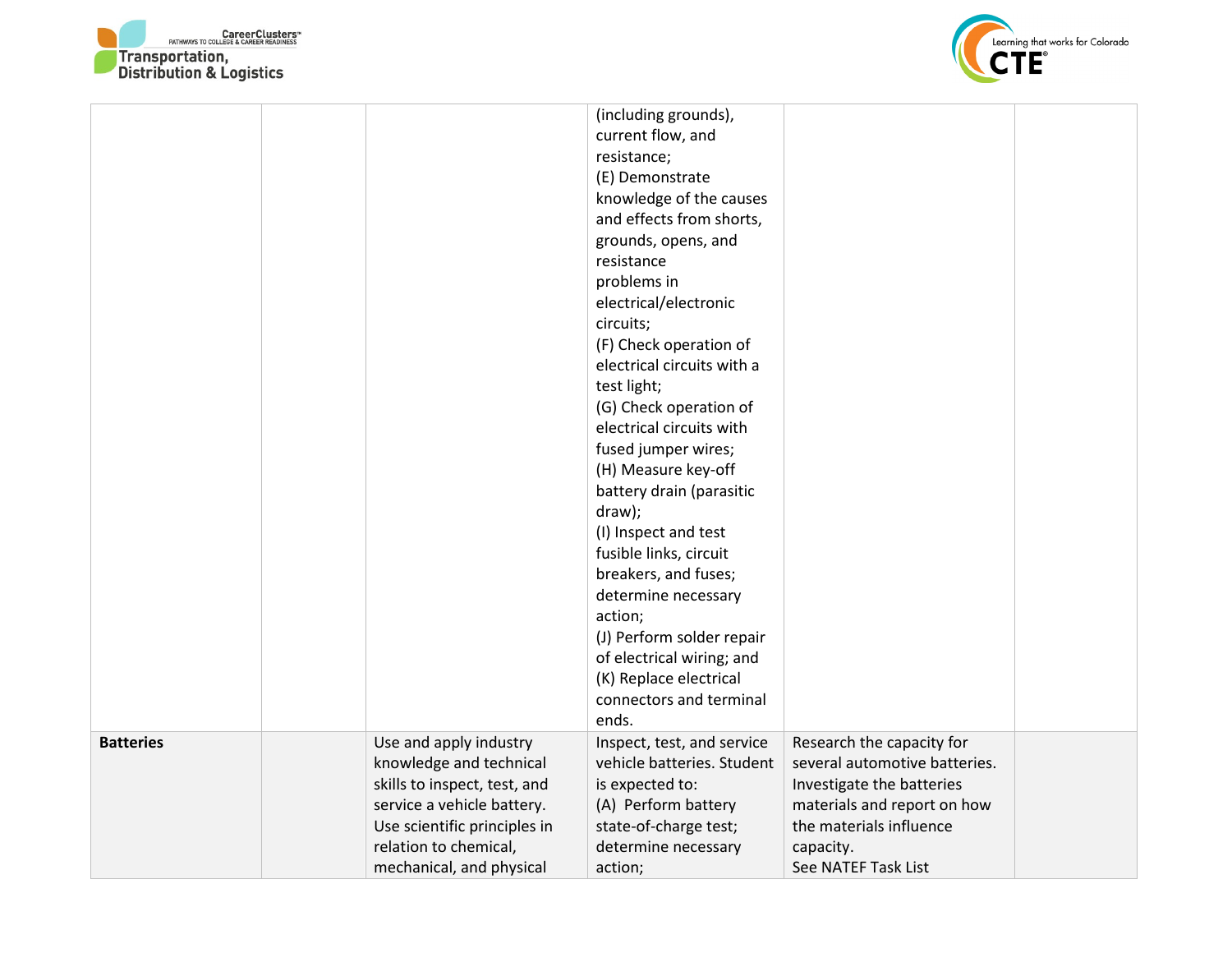



|                  |                              | (including grounds),       |                               |  |
|------------------|------------------------------|----------------------------|-------------------------------|--|
|                  |                              | current flow, and          |                               |  |
|                  |                              | resistance;                |                               |  |
|                  |                              | (E) Demonstrate            |                               |  |
|                  |                              | knowledge of the causes    |                               |  |
|                  |                              | and effects from shorts,   |                               |  |
|                  |                              | grounds, opens, and        |                               |  |
|                  |                              | resistance                 |                               |  |
|                  |                              | problems in                |                               |  |
|                  |                              | electrical/electronic      |                               |  |
|                  |                              | circuits;                  |                               |  |
|                  |                              | (F) Check operation of     |                               |  |
|                  |                              | electrical circuits with a |                               |  |
|                  |                              | test light;                |                               |  |
|                  |                              | (G) Check operation of     |                               |  |
|                  |                              | electrical circuits with   |                               |  |
|                  |                              | fused jumper wires;        |                               |  |
|                  |                              | (H) Measure key-off        |                               |  |
|                  |                              | battery drain (parasitic   |                               |  |
|                  |                              | draw);                     |                               |  |
|                  |                              | (I) Inspect and test       |                               |  |
|                  |                              | fusible links, circuit     |                               |  |
|                  |                              | breakers, and fuses;       |                               |  |
|                  |                              | determine necessary        |                               |  |
|                  |                              | action;                    |                               |  |
|                  |                              | (J) Perform solder repair  |                               |  |
|                  |                              | of electrical wiring; and  |                               |  |
|                  |                              | (K) Replace electrical     |                               |  |
|                  |                              | connectors and terminal    |                               |  |
|                  |                              | ends.                      |                               |  |
| <b>Batteries</b> | Use and apply industry       | Inspect, test, and service | Research the capacity for     |  |
|                  | knowledge and technical      | vehicle batteries. Student | several automotive batteries. |  |
|                  | skills to inspect, test, and | is expected to:            | Investigate the batteries     |  |
|                  | service a vehicle battery.   | (A) Perform battery        | materials and report on how   |  |
|                  | Use scientific principles in | state-of-charge test;      | the materials influence       |  |
|                  | relation to chemical,        | determine necessary        | capacity.                     |  |
|                  | mechanical, and physical     | action;                    | See NATEF Task List           |  |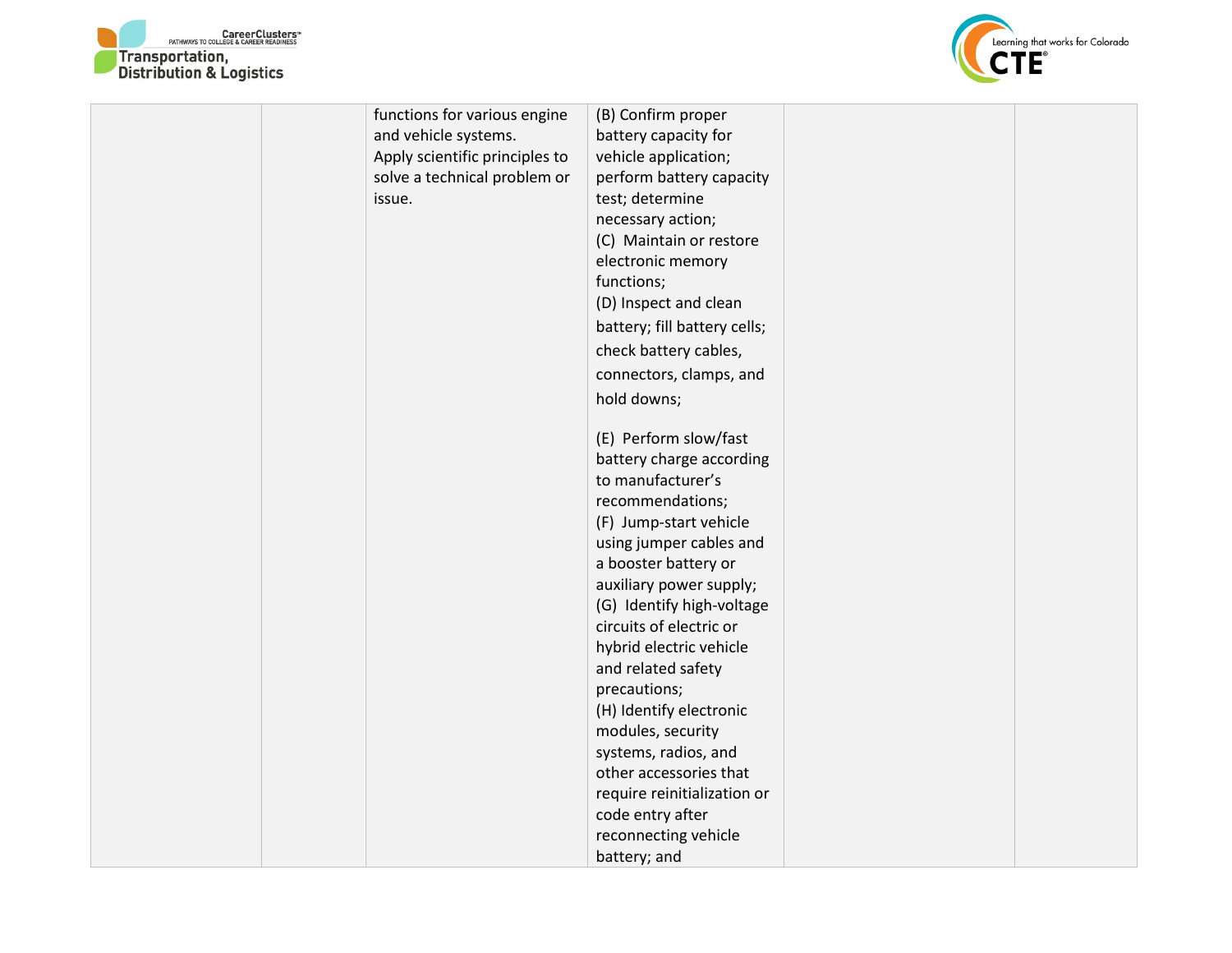



|  | functions for various engine   | (B) Confirm proper           |  |
|--|--------------------------------|------------------------------|--|
|  | and vehicle systems.           | battery capacity for         |  |
|  | Apply scientific principles to | vehicle application;         |  |
|  | solve a technical problem or   | perform battery capacity     |  |
|  | issue.                         | test; determine              |  |
|  |                                | necessary action;            |  |
|  |                                | (C) Maintain or restore      |  |
|  |                                | electronic memory            |  |
|  |                                | functions;                   |  |
|  |                                | (D) Inspect and clean        |  |
|  |                                | battery; fill battery cells; |  |
|  |                                | check battery cables,        |  |
|  |                                | connectors, clamps, and      |  |
|  |                                | hold downs;                  |  |
|  |                                |                              |  |
|  |                                | (E) Perform slow/fast        |  |
|  |                                | battery charge according     |  |
|  |                                | to manufacturer's            |  |
|  |                                | recommendations;             |  |
|  |                                | (F) Jump-start vehicle       |  |
|  |                                | using jumper cables and      |  |
|  |                                | a booster battery or         |  |
|  |                                | auxiliary power supply;      |  |
|  |                                | (G) Identify high-voltage    |  |
|  |                                | circuits of electric or      |  |
|  |                                | hybrid electric vehicle      |  |
|  |                                | and related safety           |  |
|  |                                | precautions;                 |  |
|  |                                | (H) Identify electronic      |  |
|  |                                | modules, security            |  |
|  |                                | systems, radios, and         |  |
|  |                                | other accessories that       |  |
|  |                                | require reinitialization or  |  |
|  |                                | code entry after             |  |
|  |                                | reconnecting vehicle         |  |
|  |                                | battery; and                 |  |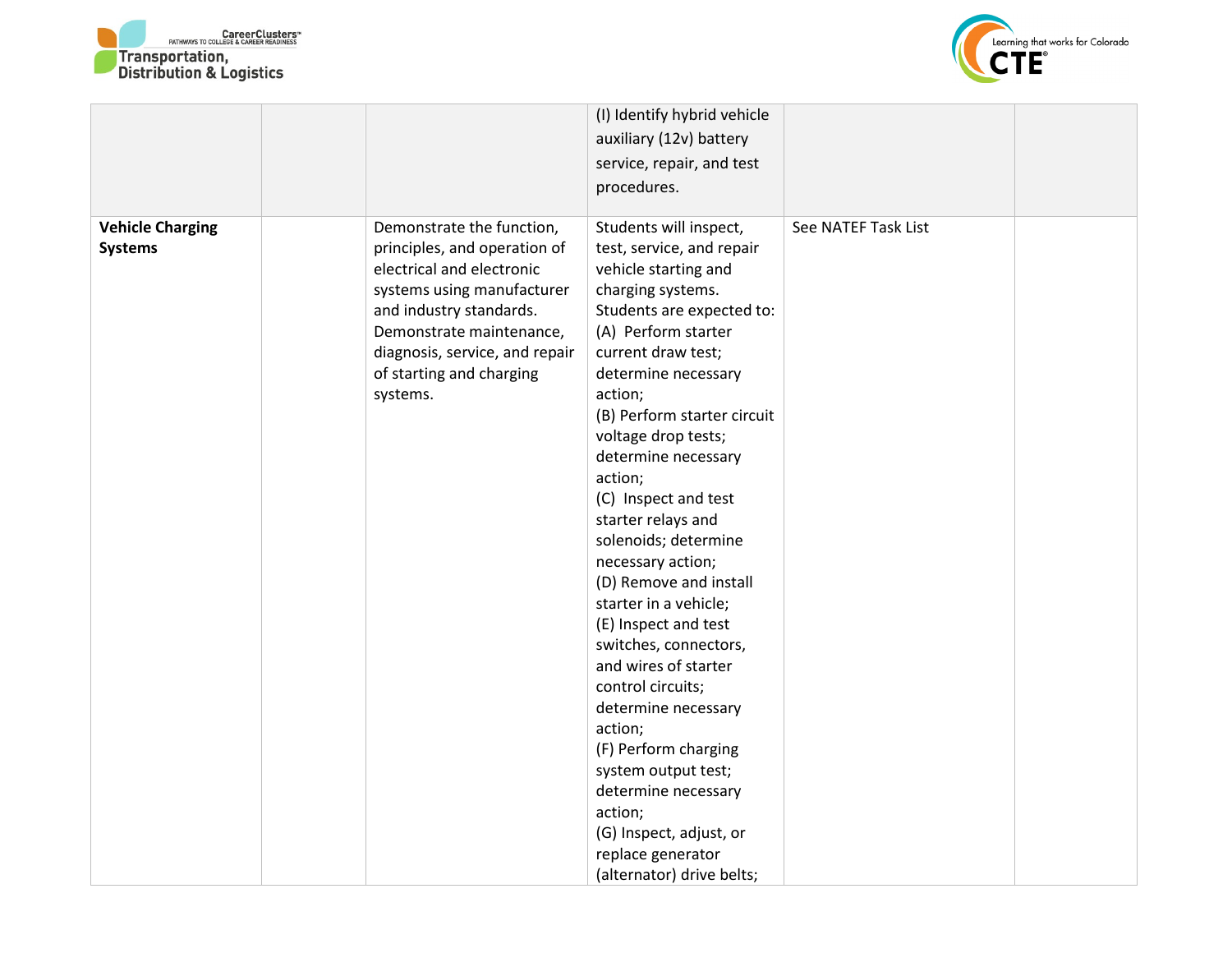



|                                           |                                                                                                                                                                                                                                                       | (I) Identify hybrid vehicle<br>auxiliary (12v) battery<br>service, repair, and test<br>procedures.                                                                                                                                                                                                                                                                                                                                                                                                                                                                                                                                                                                                                                               |                     |  |
|-------------------------------------------|-------------------------------------------------------------------------------------------------------------------------------------------------------------------------------------------------------------------------------------------------------|--------------------------------------------------------------------------------------------------------------------------------------------------------------------------------------------------------------------------------------------------------------------------------------------------------------------------------------------------------------------------------------------------------------------------------------------------------------------------------------------------------------------------------------------------------------------------------------------------------------------------------------------------------------------------------------------------------------------------------------------------|---------------------|--|
| <b>Vehicle Charging</b><br><b>Systems</b> | Demonstrate the function,<br>principles, and operation of<br>electrical and electronic<br>systems using manufacturer<br>and industry standards.<br>Demonstrate maintenance,<br>diagnosis, service, and repair<br>of starting and charging<br>systems. | Students will inspect,<br>test, service, and repair<br>vehicle starting and<br>charging systems.<br>Students are expected to:<br>(A) Perform starter<br>current draw test;<br>determine necessary<br>action;<br>(B) Perform starter circuit<br>voltage drop tests;<br>determine necessary<br>action;<br>(C) Inspect and test<br>starter relays and<br>solenoids; determine<br>necessary action;<br>(D) Remove and install<br>starter in a vehicle;<br>(E) Inspect and test<br>switches, connectors,<br>and wires of starter<br>control circuits;<br>determine necessary<br>action;<br>(F) Perform charging<br>system output test;<br>determine necessary<br>action;<br>(G) Inspect, adjust, or<br>replace generator<br>(alternator) drive belts; | See NATEF Task List |  |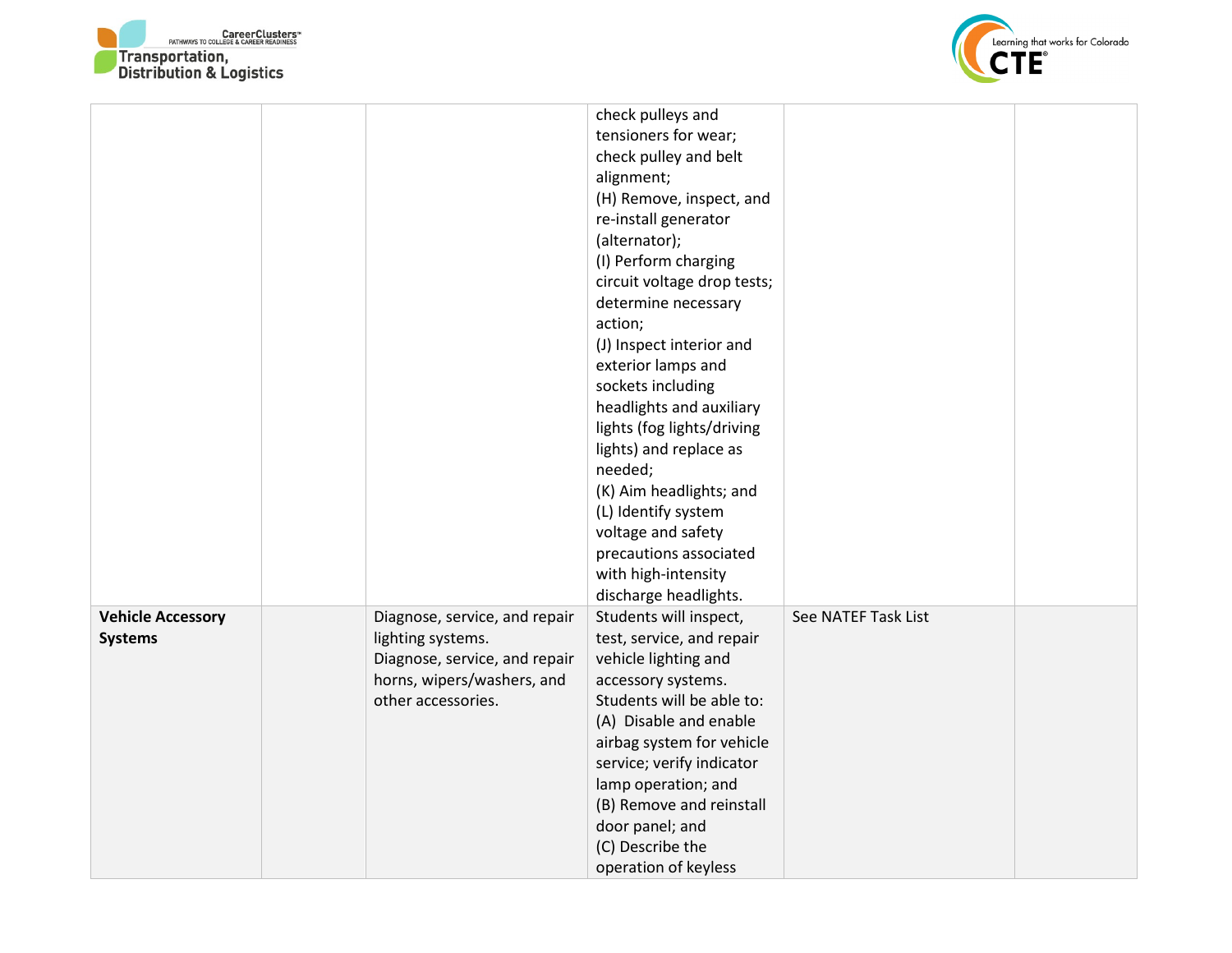



|                          |                               | check pulleys and           |                     |  |
|--------------------------|-------------------------------|-----------------------------|---------------------|--|
|                          |                               | tensioners for wear;        |                     |  |
|                          |                               | check pulley and belt       |                     |  |
|                          |                               | alignment;                  |                     |  |
|                          |                               | (H) Remove, inspect, and    |                     |  |
|                          |                               | re-install generator        |                     |  |
|                          |                               | (alternator);               |                     |  |
|                          |                               | (I) Perform charging        |                     |  |
|                          |                               | circuit voltage drop tests; |                     |  |
|                          |                               | determine necessary         |                     |  |
|                          |                               | action;                     |                     |  |
|                          |                               | (J) Inspect interior and    |                     |  |
|                          |                               | exterior lamps and          |                     |  |
|                          |                               | sockets including           |                     |  |
|                          |                               | headlights and auxiliary    |                     |  |
|                          |                               | lights (fog lights/driving  |                     |  |
|                          |                               | lights) and replace as      |                     |  |
|                          |                               | needed;                     |                     |  |
|                          |                               | (K) Aim headlights; and     |                     |  |
|                          |                               | (L) Identify system         |                     |  |
|                          |                               | voltage and safety          |                     |  |
|                          |                               | precautions associated      |                     |  |
|                          |                               | with high-intensity         |                     |  |
|                          |                               | discharge headlights.       |                     |  |
| <b>Vehicle Accessory</b> | Diagnose, service, and repair | Students will inspect,      | See NATEF Task List |  |
| <b>Systems</b>           | lighting systems.             | test, service, and repair   |                     |  |
|                          | Diagnose, service, and repair | vehicle lighting and        |                     |  |
|                          | horns, wipers/washers, and    | accessory systems.          |                     |  |
|                          | other accessories.            | Students will be able to:   |                     |  |
|                          |                               | (A) Disable and enable      |                     |  |
|                          |                               | airbag system for vehicle   |                     |  |
|                          |                               | service; verify indicator   |                     |  |
|                          |                               | lamp operation; and         |                     |  |
|                          |                               | (B) Remove and reinstall    |                     |  |
|                          |                               | door panel; and             |                     |  |
|                          |                               | (C) Describe the            |                     |  |
|                          |                               | operation of keyless        |                     |  |